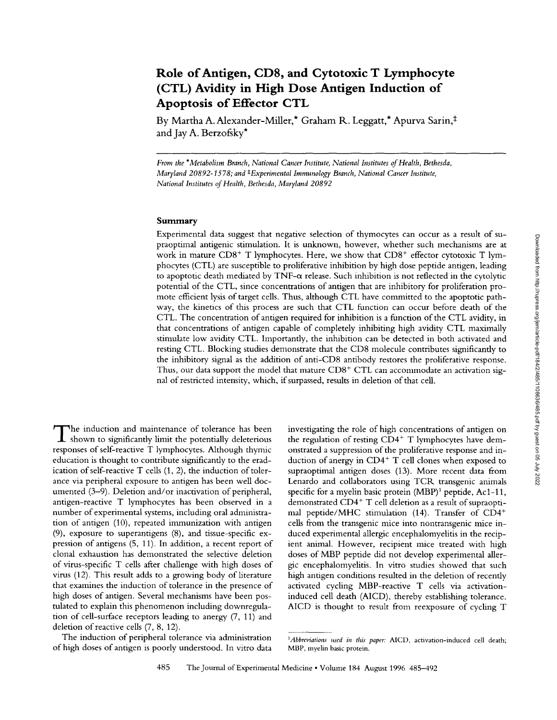# **Role of Antigen, CD8, and Cytotoxic T Lymphocyte (CTL) Avidity in High Dose Antigen Induction of Apoptosis of Effector CTL**

By Martha A. Alexander-Miller,\* Graham R. Leggatt,\* Apurva Sarin,‡ and Jay A. Berzofsky\*

*From the \*Metabolism Branch, National Cancer Institute, National Institutes of Health, Bethesda, Maryland 20892-1578; and \*Experimental Immunology Branch, National Cancer Institute, National Institutes of Health, Bethesda, Maryland 20892* 

### **Summary**

Experimental data suggest that negative selection of thymocytes can occur as a result of supraoptimal antigenic stimulation. It is unknown, however, whether such mechanisms are at work in mature CD8<sup>+</sup> T lymphocytes. Here, we show that  $CD8<sup>+</sup>$  effector cytotoxic T lymphocytes (CTL) are susceptible to proliferative inhibition by high dose peptide antigen, leading to apoptotic death mediated by  $\text{TNF}-\alpha$  release. Such inhibition is not reflected in the cytolytic potential of the CTL, since concentrations of antigen that are inhibitory for proliferation promote efficient lysis of target cells. Thus, although CTL have committed to the apoptotic pathway, the kinetics of this process are such that CTL function can occur before death of the CTL. The concentration of antigen required for inhibition is a function of the CTL avidity, in that concentrations of antigen capable of completely inhibiting high avidity CTL maximally stimulate low avidity CTL. Importantly, the inhibition can be detected in both activated and resting CTL. Blocking studies demonstrate that the CD8 molecule contributes significantly to the inhibitory signal as the addition of anti-CD8 antibody restores the proliferative response. Thus, our data support the model that mature  $CDS<sup>+</sup> CTL$  can accommodate an activation signal of restricted intensity, which, if surpassed, results in deletion of that cell.

The induction and maintenance of tolerance has been shown to significantly limit the potentially deleterious responses of self-reactive T lymphocytes. Although thymic education is thought to contribute significantly to the eradication of self-reactive T cells (1, 2), the induction of tolerance via peripheral exposure to antigen has been well documented (3-9). Deletion and/or inactivation of peripheral, antigen-reactive T lymphocytes has been observed in a number of experimental systems, including oral administration of antigen (10), repeated immunization with antigen (9), exposure to superantigens (8), and tissue-specific expression of antigens (5, 11). In addition, a recent report of clonal exhaustion has demonstrated the selective deletion of virus-specific T cells after challenge with high doses of virus (12). This result adds to a growing body of literature that examines the induction of tolerance in the presence of high doses of antigen. Several mechanisms have been postulated to explain this phenomenon including downregulation of cell-surface receptors leading to anergy (7, 11) and deletion of reactive cells (7, 8, 12).

The induction of peripheral tolerance via administration of high doses of antigen is poorly understood. In vitro data investigating the role of high concentrations of antigen on the regulation of resting  $CD4^+$  T lymphocytes have demonstrated a suppression of the proliferative response and induction of anergy in  $CD4^+$  T cell clones when exposed to supraoptimal antigen doses (13). More recent data from Lenardo and collaborators using TCR transgenic animals specific for a myelin basic protein  $(MBP)^1$  peptide, Ac1-11, demonstrated CD4<sup>+</sup> T cell deletion as a result of supraoptimal peptide/MHC stimulation (14). Transfer of CD4<sup>+</sup> cells from the transgenic mice into nontransgenic mice induced experimental allergic encephalomyelitis in the recipient animal. However, recipient mice treated with high doses of MBP peptide did not develop experimental allergic encephalomyelitis. In vitro studies showed that such high antigen conditions resulted in the deletion of recently activated cycling MBP-reactive T cells via activationinduced cell death (AICD), thereby establishing tolerance. AICD is thought to result from reexposure of cycling T

*IAbbreviations used in this paper:* AICD, activation-induced cell death; MBP, myelin basic protein.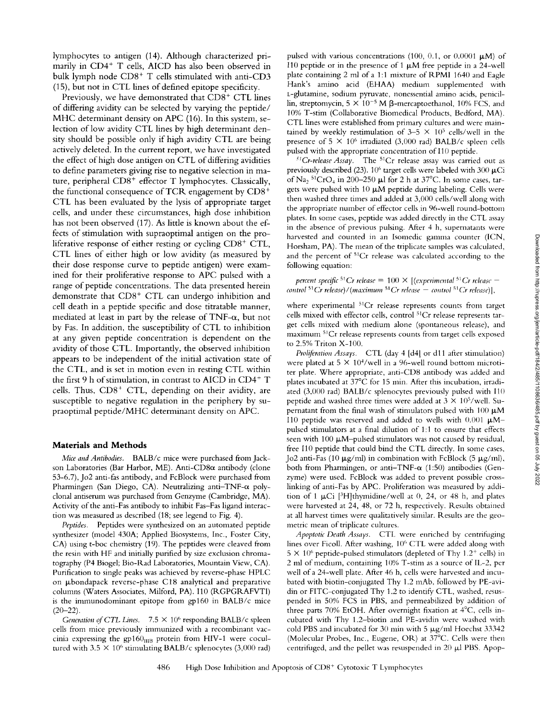lymphocytes to antigen (14). Mthough characterized primarily in CD4<sup>+</sup> T cells, AICD has also been observed in bulk lymph node  $CD8<sup>+</sup>$  T cells stimulated with anti-CD3 (15), but not in CTL lines of defined epitope specificity.

Previously, we have demonstrated that  $CD8<sup>+</sup>$  CTL lines of differing avidity can be selected by varying the peptide/ MHC determinant density on APC (16). In this system, selection of low avidity CTL lines by high determinant density should be possible only if high avidity CTL are being actively deleted. In the current report, we have investigated the effect of high dose antigen on CTL of differing avidities to define parameters giving rise to negative selection in mature, peripheral  $CD8<sup>+</sup>$  effector T lymphocytes. Classically, the functional consequence of TCR engagement by  $CD8<sup>+</sup>$ CTL has been evaluated by the lysis of appropriate target cells, and under these circumstances, high dose inhibition has not been observed (17). As little is known about the effects of stimulation with supraoptimal antigen on the proliferative response of either resting or cycling  $CD8<sup>+</sup>$  CTL, CTL lines of either high or low avidity (as measured by their dose response curve to peptide antigen) were examined for their proliferative response to APC pulsed with a range of peptide concentrations. The data presented herein demonstrate that  $CD8<sup>+</sup> CTL$  can undergo inhibition and cell death in a peptide specific and dose titratable manner, mediated at least in part by the release of  $TNF-\alpha$ , but not by Fas. In addition, the susceptibility of CTL to inhibition at any given peptide concentration is dependent on the avidity of those CTL. Importantly, the observed inhibition appears to be independent of the initial activation state of the CTL, and is set in motion even in resting CTL within the first 9 h of stimulation, in contrast to AICD in CD4+  $T$ cells. Thus,  $CDS^+$  CTL, depending on their avidity, are susceptible to negative regulation in the periphery by supraoptimal peptide/MHC determinant density on APC.

## **Materials and Methods**

*Mice and Antibodies.* BALB/c mice were purchased from Jackson Laboratories (Bar Harbor, ME). Anti-CD8 $\alpha$  antibody (clone 53-6.7), Jo2 anti-fas antibody, and FcBlock were purchased from Pharmingen (San Diego, CA). Neutralizing anti-TNF- $\alpha$  polyclonal antiserum was purchased from Genzyme (Cambridge, MA). Activity of the anti-Fas antibody to inhibit Fas-Fas ligand interaction was measured as described (18; see legend to Fig. 4).

*Peptides.* Peptides were synthesized on an automated peptide synthesizer (model 430A; Applied Biosystems, Inc., Foster City, CA) using t-boc chemistry (19). The peptides were cleaved from the resin with HF and initially purified by size exclusion chromatography (P4 Biogel; Bio-Rad Laboratories, Mountain View, CA). Purification to single peaks was achieved by reverse-phase HPLC on ubondapack reverse-phase C18 analytical and preparative columns (Waters Associates, Milford, PA). I10 (RGPGRAFVTI) is the imnmnodominant epitope from gp160 in BALB/c mice  $(20-22)$ .

*Generation of CTL Lines.* 7.5  $\times$  10<sup>6</sup> responding BALB/c spleen cells from mice previously immunized with a recombinant vaccinia expressing the gp160 $_{\text{HIB}}$  protein from HIV-1 were cocultured with  $3.5 \times 10^6$  stimulating BALB/c splenocytes (3,000 rad) pulsed with various concentrations (100, 0.1, or 0.0001  $\mu$ M) of I10 peptide or in the presence of 1  $\mu$ M free peptide in a 24-well plate containing 2 ml of a 1:1 mixture of RPMI 1640 and Eagle Hank's amino acid (EHAA) medium supplemented with t-glutamine, sodium pyruvate, nonessential amino acids, penicillin, streptomycin,  $5 \times 10^{-5}$  M  $\beta$ -mercaptoethanol, 10% FCS, and 10% T-stim (Collaborative Biomedical Products, Bedford, MA). CTL lines were established from primary cultures and were maintained by weekly restimulation of  $3-5 \times 10^5$  cells/well in the presence of 5  $\times$  10<sup>6</sup> irradiated (3,000 rad) BALB/c spleen cells pulsed with the appropriate concentration of I10 peptide.

 ${}^{51}Cr$ -release Assay. The  ${}^{51}Cr$  release assay was carried out as previously described (23).  $10^6$  target cells were labeled with 300  $\mu$ Ci of Na<sub>2</sub> <sup>51</sup>CrO<sub>4</sub> in 200-250  $\mu$ l for 2 h at 37°C. In some cases, targets were pulsed with 10  $\mu$ M peptide during labeling. Cells were then washed three times and added at 3,000 cells/well along with the appropriate number of effector cells in 96-well round-bottom plates. In some cases, peptide was added directly in the CTL assay in the absence of previous pulsing. After 4 h, supernatants were harvested and counted in an Isomedic gamma counter (ICN, Horsham, PA). The mean of the triplicate samples was calculated, and the percent of <sup>51</sup>Cr release was calculated according to the following equation:

*percent specific* <sup>51</sup>*Cr release* =  $100 \times$  *[(experimental* <sup>51</sup>*Cr release* – *control* <sup>51</sup>*Cr release*)/(*maximum* <sup>51</sup>*Cr release - control* <sup>51</sup>*Cr release*)],

where experimental <sup>51</sup>Cr release represents counts from target cells mixed with effector cells, control 51Cr release represents target cells mixed with medium alone (spontaneous release), and maxinmm 51Cr release represents counts from target cells exposed to 2.5% Triton X-100.

*Proliferation Assays.* CTL (day 4 [d4] or d11 after stimulation) were plated at  $5 \times 10^4$ /well in a 96-well round bottom microtiter plate. Where appropriate, anti-CD8 antibody was added and plates incubated at 37°C for 15 min. After this incubation, irradiated (3,000 rad) BALB/c splenocytes previously pulsed with 110 peptide and washed three times were added at  $3 \times 10^5$ /well. Supernatant from the final wash of stimulators pulsed with 100  $\mu$ M I10 peptide was reserved and added to wells with  $0.001 \mu\text{M}$ pulsed stinmlators at a final dilution of 1:1 to ensure that effects seen with 100  $\mu$ M-pulsed stimulators was not caused by residual, free I10 peptide that could bind the CTL directly. In some cases, Jo2 anti-Fas (10  $\mu$ g/ml) in combination with FcBlock (5  $\mu$ g/ml), both from Pharmingen, or anti-TNF- $\alpha$  (1:50) antibodies (Genzyme) were used. FcBlock was added to prevent possible crosslinking of anti-Fas by APC. Proliferation was measured by addition of 1  $\mu$ Ci [<sup>3</sup>H]thymidine/well at 0, 24, or 48 h, and plates were harvested at 24, 48, or 72 h, respectively. Results obtained at all harvest times were qualitatively similar. Results are the geometric mean of triplicate cultures.

*Apoptotic Death Assays.* CTL were enriched by centrifuging lines over Ficoll. After washing, 10<sup>6</sup> CTL were added along with  $5 \times 10^6$  peptide-pulsed stimulators (depleted of Thy 1.2<sup>+</sup> cells) in 2 ml of medium, containing 10% T-stim as a source of IL-2, per well of a 24-well plate. After 46 b, cells were harvested and incubated with biotin-conjugated Thy 1.2 mAb, followed by PE-avidin or FITC-conjugated Thy 1.2 to identify CTL, washed, resuspended in 50% FCS in PBS, and penneabilized by addition of three parts 70% EtOH. After overnight fixation at  $4^{\circ}$ C, cells incubated with Thy 1.2-biotin and PE-avidin were washed with cold PBS and incubated for 30 min with 5  $\mu$ g/ml Hoechst 33342 (Molecular Probes, Inc., Eugene, OR) at  $37^{\circ}$ C. Cells were then centrifuged, and the pellet was resuspended in 20  $\mu$ l PBS. Apop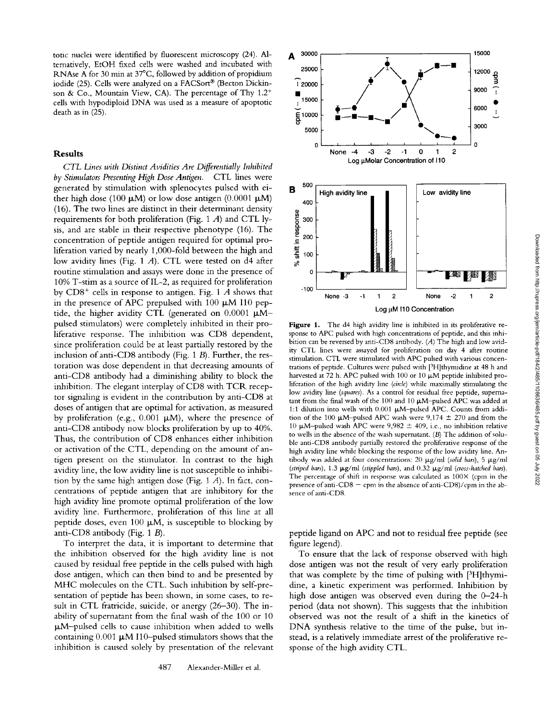totic nuclei were identified by fluorescent microscopy (24). Alternatively, EtOH fixed cells were washed and incubated with RNAse A for 30 min at 37°C, followed by addition of propidium iodide (25). Cells were analyzed on a FACSort® (Becton Dickinson & Co., Mountain View, CA). The percentage of Thy  $1.2<sup>+</sup>$ cells with hypodiploid DNA was used as a measure of apoptotic death as in (25).

#### **Results**

*CTL Lines with Distinct Avidities Are Differentially Inhibited by ,Stimulators Presenting High Dose Antigen.* CTL lines were generated by stimulation with splenocytes pulsed with either high dose (100  $\mu$ M) or low dose antigen (0.0001  $\mu$ M) (16). The two lines are distinct in their determinant density requirements for both proliferation (Fig. 1  $A$ ) and CTL lysis, and are stable in their respective phenotype (16). The concentration of peptide antigen required for optimal proliferation varied by nearly 1,000-fold between the high and low avidity lines (Fig. 1 A). CTL were tested on d4 after routine stimulation and assays were done in the presence of 10% T-stim as a source of IL-2, as required for proliferation by  $CDS^+$  cells in response to antigen. Fig. 1 A shows that in the presence of APC prepulsed with 100  $\mu$ M I10 peptide, the higher avidity CTL (generated on  $0.0001 \mu M$ pulsed stimulators) were completely inhibited in their proliferative response. The inhibition was CD8 dependent, since proliferation could be at least partially restored by the inclusion of anti-CD8 antibody (Fig.  $1 B$ ). Further, the restoration was dose dependent in that decreasing amounts of anti-CD8 antibody had a diminishing ability to block the inhibition. The elegant interplay of CD8 with TCR receptor signaling is evident in the contribution by anti-CD8 at doses of antigen that are optimal for activation, as measured by proliferation (e.g., 0.001  $\mu$ M), where the presence of anti-CD8 antibody now blocks proliferation by up to 40%. Thus, the contribution of CD8 enhances either inhibition or activation of the CTL, depending on the amount of antigen present on the stimulator. In contrast to the high avidity line, the low avidity line is not susceptible to inhibition by the same high antigen dose (Fig. 1 A). In fact, concentrations of peptide antigen that are inhibitory for the high avidity line promote optimal proliferation of the low avidity line. Furthermore, proliferation of this line at all peptide doses, even 100  $\mu$ M, is susceptible to blocking by anti-CD8 antibody (Fig. 1 B).

To interpret the data, it is important to determine that the inhibition observed for the high avidity line is not caused by residual free peptide in the cells pulsed with high dose antigen, which can then bind to and be presented by MHC molecules on the CTL. Such inhibition by self-presentation of peptide has been shown, in some cases, to result in CTL fratricide, suicide, or anergy (26-30). The inability of supernatant from the final wash of the 100 or 10  $\mu$ M-pulsed cells to cause inhibition when added to wells containing  $0.001 \mu M$  I10-pulsed stimulators shows that the inhibition is caused solely by presentation of the relevant



Figure 1. The d4 high avidity line is inhibited in its proliferative response to APC pulsed with high concentrations of peptide, and this inhibition can be reversed by anti-CD8 antibody. (A) The high and low avidity CTL lines were assayed for proliferation on day 4 after routine stimulation. CTL were stimulated with APC pulsed with various concentrations of peptide. Cultures were pulsed with [3H]thymidine at 48 h and harvested at 72 h. APC pulsed with 100 or 10  $\mu$ M peptide inhibited proliferation of the high avidity line *(circle)* while maximally stimulating the low avidity line *(squares).* As a control for residual free peptide, supernatant from the final wash of the 100 and 10  $\mu$ M-pulsed APC was added at 1:1 dilution into wells with  $0.001 \mu$ M-pulsed APC. Counts from addition of the 100  $\mu$ M-pulsed APC wash were 9,174  $\pm$  270 and from the 10  $\mu$ M-pulsed wash APC were 9,982  $\pm$  409, i.e., no inhibition relative to wells in the absence of the wash supernatant. (B) The addition of soluble anti-CD8 antibody partially restored the proliferative response of the high avidity line while blocking the response of the low avidity line. Antibody was added at four concentrations: 20 µg/ml (solid bars), 5 µg/ml *(striped bars), 1.3*  $\mu$ *g/ml (stippled bars), and 0.32*  $\mu$ *g/ml <i>(cross-hatched bars).* The percentage of shift in response was calculated as  $100 \times$  (cpm in the presence of anti-CD8  $-$  cpm in the absence of anti-CD8)/cpm in the absence of anti-CD8.

peptide ligand on APC and not to residual free peptide (see figure legend).

To ensure that the lack of response observed with high dose antigen was not the result of very early proliferation that was complete by the time of pulsing with [3H]thymidine, a kinetic experiment was performed. Inhibition by high dose antigen was observed even during the 0-24-h period (data not shown). This suggests that the inhibition observed was not the result of a shift in the kinetics of DNA synthesis relative to the time of the pulse, but instead, is a relatively immediate arrest of the proliferative response of the high avidity CTL.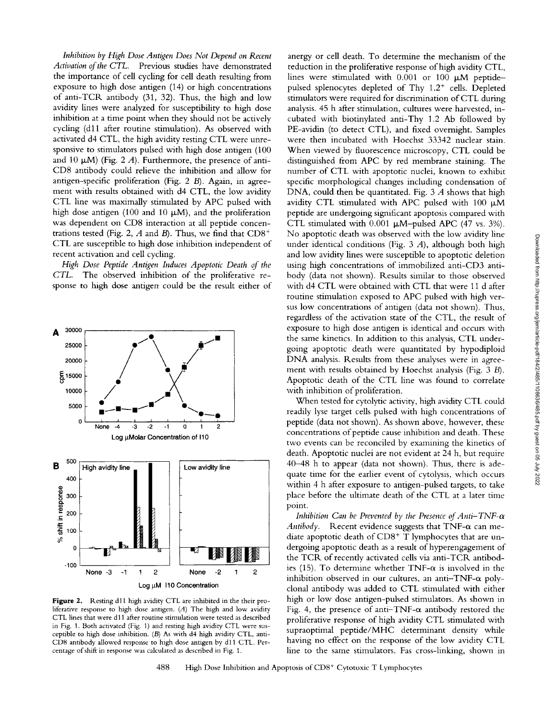*Inhibition by High Dose Antigen Does Not Depend on Recent Activation of the CTL.* Previous studies have demonstrated the importance of cell cycling for cell death resulting from exposure to high dose antigen (14) or high concentrations of anti-TCR antibody (31, 32). Thus, the high and low avidity lines were analyzed for susceptibility to high dose inhibition at a time point when they should not be actively cycling (dll after routine stimulation). As observed with activated d4 CTL, the high avidity resting CTL were unresponsive to stimulators pulsed with high dose antigen (100 and 10  $\mu$ M) (Fig. 2 *A*). Furthermore, the presence of anti-CD8 antibody could relieve the inhibition and allow for antigen-specific proliferation (Fig. 2 B). Again, in agreement with results obtained with d4 CTL, the low avidity CTL line was maximally stimulated by APC pulsed with high dose antigen (100 and 10  $\mu$ M), and the proliferation was dependent on CD8 interaction at all peptide concentrations tested (Fig. 2, A and B). Thus, we find that  $CD8<sup>+</sup>$ CTL are susceptible to high dose inhibition independent of recent activation and cell cycling.

*High Dose Peptide Antigen Induces Apoptotic Death of the CTL.* The observed inhibition of the proliferative response to high dose antigen could be the result either of



Figure 2. Resting d11 high avidity CTL are inhibited in the their proliferative response to high dose antigen. (A) The high and low avidity CTL lines that were d11 after routine stimulation were tested as described in Fig. 1. Both activated (Fig. 1) and resting high avidity CTL were susceptible to high dose inhibition. (B) As with d4 high avidity CTL, anti-CD8 antibody allowed response to high dose antigen by d11 CTL. Percentage of shift in response was calculated as described in Fig. 1.

anergy or cell death. To determine the mechanism of the reduction in the proliferative response of high avidity CTL, lines were stimulated with  $0.001$  or  $100 \mu M$  peptidepulsed splenocytes depleted of Thy  $1.2^+$  cells. Depleted stimulators were required for discrimination of CTL during analysis. 45 h after stimulation, cultures were harvested, incubated with biotinylated anti-Thy 1.2 Ab followed by PE-avidin (to detect CTL), and fixed overnight. Samples were then incubated with Hoechst 33342 nuclear stain. When viewed by fluorescence microscopy, CTL could be distinguished from APC by red membrane staining. The number of CTL with apoptotic nuclei, known to exhibit specific morphological changes including condensation of DNA, could then be quantitated. Fig. 3 A shows that high avidity CTL stimulated with APC pulsed with 100  $\mu$ M peptide are undergoing significant apoptosis compared with CTL stimulated with  $0.001 \mu$ M-pulsed APC (47 vs. 3%). No apoptotic death was observed with the low avidity line under identical conditions (Fig. 3 A), although both high and low avidity lines were susceptible to apoptotic deletion using high concentrations of immobilized anti-CD3 antibody (data not shown). Results similar to those observed with d4 CTL were obtained with CTL that were 11 d after routine stimulation exposed to APC pulsed with high versus low concentrations of antigen (data not shown). Thus, regardless of the activation state of the CTL, the result of exposure to high dose antigen is identical and occurs with the same kinetics. In addition to this analysis, CTL undergoing apoptotic death were quantitated by hypodiploid DNA analysis. Results from these analyses were in agreement with results obtained by Hoechst analysis (Fig. 3 B). Apoptotic death of the CTL line was found to correlate with inhibition of proliferation.

When tested for cytolytic activity, high avidity CTL could readily lyse target cells pulsed with high concentrations of peptide (data not shown). As shown above, however, these concentrations of peptide cause inhibition and death. These two events can be reconciled by examining the kinetics of death. Apoptotic nuclei are not evident at 24 h, but require 40-48 h to appear (data not shown). Thus, there is adequate time for the earlier event of cytolysis, which occurs within 4 h after exposure to antigen-pulsed targets, to take place before the ultimate death of the CTL at a later time point.

*Inhibition Can be Prevented by the Presence of Anti-TNF-* $\alpha$ *Antibody.* Recent evidence suggests that  $TNF-\alpha$  can mediate apoptotic death of  $CD8<sup>+</sup>$  T lymphocytes that are undergoing apoptotic death as a result of hyperengagement of the TCR of recently activated cells via anti-TCR antibodies (15). To determine whether TNF- $\alpha$  is involved in the inhibition observed in our cultures, an anti-TNF- $\alpha$  polyclonal antibody was added to CTL stimulated with either high or low dose antigen-pulsed stimulators. As shown in Fig. 4, the presence of anti-TNF- $\alpha$  antibody restored the proliferative response of high avidity CTL stimulated with supraoptimal peptide/MHC determinant density while having no effect on the response of the low avidity CTL line to the same stimulators. Fas cross-linking, shown in

488 High Dose Inhibition and Apoptosis of CD8<sup>+</sup> Cytotoxic T Lymphocytes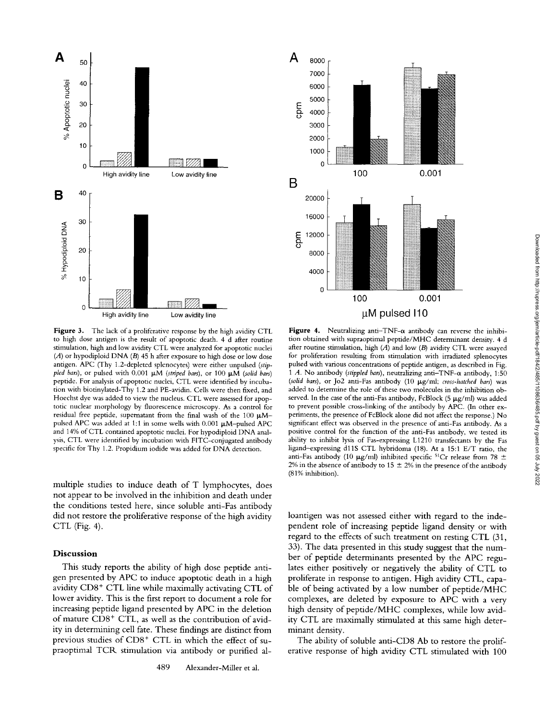



**Figure** 3. The lack of a proliferative response by the high avidity CTL to high dose antigen is the result of apoptotic death. 4 d after routine stimulation, high and low avidity CTL were analyzed for apoptotic nuclei (A) or hypodiploid DNA (B) 45 h after exposure to high dose or low dose antigen. APC (Thy 1.2-depleted splenocytes) were either unpulsed *(stippled bars), or pulsed with 0.001*  $\mu$ *M (striped bars), or 100*  $\mu$ *M (solid bars)* peptide. For analysis of apoptotic nuclei, CTL were identified by incubation with biotinylated-Thy 1.2 and PE-avidin. Cells were then fixed, and Hoechst dye was added to view the nucleus. CTL were assessed for apoptotic nuclear morphology by fluorescence microscopy. As a control for residual free peptide, supernatant from the final wash of the 100  $\mu$ Mpulsed APC was added at 1:1 in some wells with  $0.001 \mu$ M-pulsed APC and 14% of CTL contained apoptotic nuclei. For hypodiploid DNA analysis, CTL were identified by incubation with FITC-conjugated antibody specific for Thy 1.2. Propidium iodide was added for DNA detection.

multiple studies to induce death of T lymphocytes, does not appear to be involved in the inhibition and death under the conditions tested here, since soluble anti-Fas antibody did not restore the proliferative response of the high avidity CTL (Fig. 4).

#### **Discussion**

This study reports the ability of high dose peptide antigen presented by APC to induce apoptotic death in a high avidity  $CDS<sup>+</sup> CTL$  line while maximally activating  $CTL$  of lower avidity. This is the first report to document a role for increasing peptide ligand presented by APC in the deletion of mature  $CDS^+$  CTL, as well as the contribution of avidity in determining cell fate. These findings are distinct from previous studies of CD8<sup>+</sup> CTL in which the effect of supraoptimal TCR stimulation via antibody or purified al-

Figure 4. Neutralizing anti-TNF- $\alpha$  antibody can reverse the inhibition obtained with supraoptimal peptide/MHC determinant density. 4 d after routine stimulation, high  $(A)$  and low  $(B)$  avidity CTL were assayed for proliferation resulting from stimulation with irradiated splenocytes pulsed with various concentrations of peptide antigen, as described in Fig. 1 A. No antibody *(stippled bars)*, neutralizing anti-TNF- $\alpha$  antibody, 1:50 *(solid bars),* or Jo2 anti-Fas antibody (10 Ixg/ml; *cross-hatched bars)* was added to determine the role of these two molecules in the inhibition observed. In the case of the anti-Fas antibody, FcBlock (5  $\mu$ g/ml) was added to prevent possible cross-linking of the antibody by APC. (In other experiments, the presence of FcBlock alone did not affect the response.) No significant effect was observed in the presence of anti-Fas antibody. As a positive control for the function of the anti-Fas antibody, we tested its ability to inhibit lysis of Fas-expressing L1210 transfectants by the Fas ligand-expressing d11S CTL hybridoma (18). At a 15:1 E/T ratio, the anti-Fas antibody (10  $\mu$ g/ml) inhibited specific <sup>51</sup>Cr release from 78  $\pm$ 2% in the absence of antibody to 15  $\pm$  2% in the presence of the antibody (81% inhibition).

loantigen was not assessed either with regard to the independent role of increasing peptide ligand density or with regard to the effects of such treatment on resting CTL (31, 33). The data presented in this study suggest that the number of peptide determinants presented by the APC regulates either positively or negatively the ability of CTL to proliferate in response to antigen. High avidity CTL, capable of being activated by a low number of peptide/MHC complexes, are deleted by exposure to APC with a very high density of peptide/MHC complexes, while low avidity CTL are maximally stimulated at this same high determinant density.

The ability of soluble anti-CD8 Ab to restore the proliferative response of high avidity CTL stimulated with 100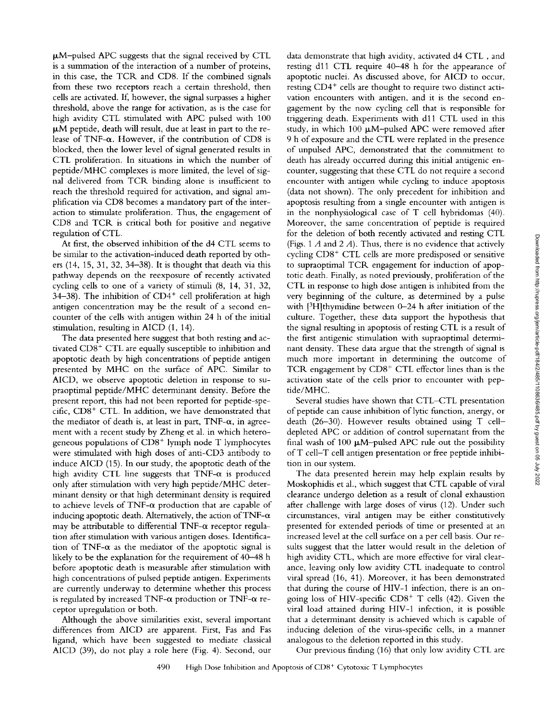$\mu$ M-pulsed APC suggests that the signal received by CTL is a summation of the interaction of a number of proteins, in this case, the TCR and CD8. If the combined signals from these two receptors reach a certain threshold, then cells are activated. If, however, the signal surpasses a higher threshold, above the range for activation, as is the case for high avidity CTL stimulated with APC pulsed with 100  $~\mu$ M peptide, death will result, due at least in part to the release of TNF- $\alpha$ . However, if the contribution of CD8 is blocked, then the lower level of signal generated results in CTL proliferation. In situations in which the number of peptide/MHC complexes is more limited, the level of signal delivered from TCR binding alone is insufficient to reach the threshold required for activation, and signal amplification via CD8 becomes a mandatory part of the interaction to stimulate proliferation. Thus, the engagement of CD8 and TCR is critical both for positive and negative regulation of CTL.

At first, the observed inhibition of the d4 CTL seems to be similar to the activation-induced death reported by others (14, 15, 31, 32, 34-38). It is thought that death via this pathway depends on the reexposure of recently activated cycling cells to one of a variety of stimuli (8, 14, 31, 32,  $34-38$ ). The inhibition of CD4<sup>+</sup> cell proliferation at high antigen concentration may be the result of a second encounter of the cells with antigen within 24 h of the initial stimulation, resulting in AICD (1, 14).

The data presented here suggest that both resting and activated  $CDS<sup>+</sup> CTL$  are equally susceptible to inhibition and apoptotic death by high concentrations of peptide antigen presented by MHC on the surface of APC. Similar to AICD, we observe apoptotic deletion in response to supraoptimal peptide/MHC determinant density. Before the present report, this had not been reported for peptide-specific,  $CD8<sup>+</sup> CTL$ . In addition, we have demonstrated that the mediator of death is, at least in part,  $TNF-\alpha$ , in agreement with a recent study by Zheng et al. in which heterogeneous populations of CD8<sup>+</sup> lymph node T lymphocytes were stimulated with high doses of anti-CD3 antibody to induce AICD (15). In our study, the apoptotic death of the high avidity CTL line suggests that TNF- $\alpha$  is produced only after stimulation with very high peptide/MHC determinant density or that high determinant density is required to achieve levels of TNF- $\alpha$  production that are capable of inducing apoptotic death. Alternatively, the action of TNF- $\alpha$ may be attributable to differential TNF- $\alpha$  receptor regulation after stimulation with various antigen doses. Identification of TNF- $\alpha$  as the mediator of the apoptotic signal is likely to be the explanation for the requirement of 40-48 h before apoptotic death is measurable after stimulation with high concentrations of pulsed peptide antigen. Experiments are currently underway to determine whether this process is regulated by increased TNF- $\alpha$  production or TNF- $\alpha$  receptor upregulation or both.

Although the above similarities exist, several important differences from AICD are apparent. First, Fas and Fas ligand, which have been suggested to mediate classical AICD (39), do not play a role here (Fig. 4). Second, our

data demonstrate that high avidity, activated d4 CTL, and resting dll CTL require 40-48 h for the appearance of apoptotic nuclei. As discussed above, for AICD to occur, resting CD4<sup>+</sup> cells are thought to require two distinct activation encounters with antigen, and it is the second engagement by the now cycling cell that is responsible for triggering death. Experiments with d11 CTL used in this study, in which 100  $\mu$ M-pulsed APC were removed after 9 h of exposure and the CTL were replated in the presence of unpulsed APC, demonstrated that the commitment to death has already occurred during this initial antigenic encounter, suggesting that these CTL do not require a second encounter with antigen while cycling to induce apoptosis (data not shown). The only precedent for inhibition and apoptosis resulting from a single encounter with antigen is in the nonphysiological case of T cell hybridomas (40). Moreover, the same concentration of peptide is required for the deletion of both recently activated and resting CTL (Figs. 1  $A$  and 2  $A$ ). Thus, there is no evidence that actively cycling  $CD8<sup>+</sup>$  CTL cells are more predisposed or sensitive to supraoptimal TCR engagement for induction of apoptotic death. Finally, as noted previously, proliferation of the CTL in response to high dose antigen is inhibited from the very beginning of the culture, as determined by a pulse with [<sup>3</sup>H]thymidine between 0-24 h after initiation of the culture. Together, these data support the hypothesis that the signal resulting in apoptosis of resting CTL is a result of the first antigenic stimulation with supraoptimal detemainant density. These data argue that the strength of signal is much more important in determining the outcome of TCR engagement by  $CDS<sup>+</sup> CTL$  effector lines than is the activation state of the ceils prior to encounter with peptide/MHC.

Several studies have shown that CTL-CTL presentation of peptide can cause inhibition of lytic function, anergy, or death (26-30). However results obtained using T celldepleted APC or addition of control supernatant from the final wash of 100  $\mu$ M-pulsed APC rule out the possibility ofT cell-T cell antigen presentation or free peptide inhibition in our system.

The data presented herein may help explain results by Moskophidis et al., which suggest that CTL capable of viral clearance undergo deletion as a result of clonal exhaustion after challenge with large doses of virus (12). Under such circumstances, viral antigen may be either constitutively presented for extended periods of time or presented at an increased level at the cell surface on a per cell basis. Our resuits suggest that the latter would result in the deletion of high avidity CTL, which are more effective for viral clearance, leaving only low avidity CTL inadequate to control viral spread (16, 41). Moreover, it has been demonstrated that during the course of HIV-1 infection, there is an ongoing loss of HIV-specific  $CD8<sup>+</sup>$  T cells (42). Given the viral load attained during HIV-1 infection, it is possible that a determinant density is achieved which is capable of inducing deletion of the virus-specific cells, in a manner analogous to the deletion reported in this study.

Our previous finding (16) that only low avidity CTL are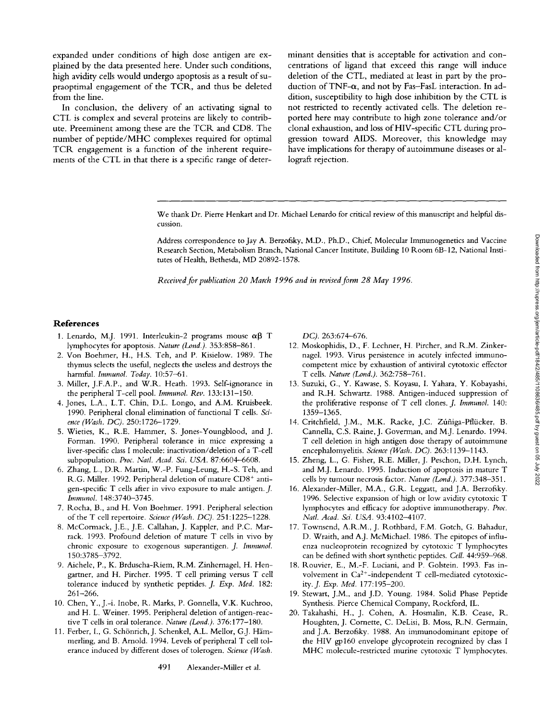expanded under conditions of high dose antigen are explained by the data presented here. Under such conditions, high avidity cells would undergo apoptosis as a result of supraoptimal engagement of the TCR, and thus be deleted from the line.

In conclusion, the delivery of an activating signal to CTL is complex and several proteins are likely to contribute. Preeminent among these are the TCR and *CD8.* The number of peptide/MHC complexes required for optimal TCR engagement is a function of the inherent requirements of the CTL in that there is a specific range of determinant densities that is acceptable for activation and concentrations of ligand that exceed this range will induce deletion of the CTL, mediated at least in part by the production of TNF- $\alpha$ , and not by Fas-FasL interaction. In addition, susceptibility to high dose inhibition by the CTL is not restricted to recently activated cells. The deletion reported here may contribute to high zone tolerance and/or clonal exhaustion, and loss of HIV-specific CTL during progression toward AIDS. Moreover, this knowledge may have implications for therapy of autoimmune diseases or allograft rejection.

We thank Dr. Pierre Henkart and Dr. Michael Lenardo for critical review of this manuscript and helpful discussion.

Address correspondence to Jay A. Berzofsky, M.D., Ph.D., Chief, Molecular Immunogenetics and Vaccine Research Section, Metabolism Branch, National Cancer Institute, Building 10 Room 6B-12, National Institutes of Health, Bethesda, MD 20892-1578.

*Received for publication 20 March 1996 and in revised form 28 May 1996.* 

#### **References**

- 1. Lenardo, M.J. 1991. Interleukin-2 programs mouse  $\alpha\beta$  T lymphocytes for apoptosis. *Nature (Lond.).* 353:858-861.
- 2. Von Boehmer, H., H.S. Teh, and P. Kisielow. 1989. The thymus selects the useful, neglects the useless and destroys the harmful, *lmmunol. Today.* 10:57-61.
- 3. Miller, J.F.A.P., and W.R. Heath. 1993. Self-ignorance in the peripheral T-cell pool. *Immunol. Rev.* 133:131-150.
- 4. Jones, L.A., L.T. Chin, D.L. Longo, and A.M. Kruisbeek. 1990. Peripheral clonal elimination of functional T cells. *Science (Wash. DC).* 250:1726-1729.
- 5. Wieties, K., R.E. Hammer, S. Jones-Youngblood, and J. Forman. 1990. Peripheral tolerance in mice expressing a liver-specific class I molecule: inactivation/deletion of a T-cell subpopulation. *Proc. Natl. Acad. Sci. USA.* 87:6604-6608.
- 6. Zhang, L., D.R. Martin, W.-P. Fung-Leung, H.-S. Teh, and R.G. Miller. 1992. Peripheral deletion of mature CD8+ anti*gen-specific* T cells after in vivo exposure to male antigen. J. *Immunol.* 148:3740-3745.
- 7. Rocha, B., and H. Von Boehmer. 1991. Peripheral selection of the T cell repertoire. *Science (Wash. DC).* 251 : 1225-1228.
- 8. McCormack, J.E., J.E. Callahan, J. Kappler, and P.C. Marrack. 1993. Profound deletion of mature T cells in vivo by chronic exposure to exogenous superantigen. *J. Immunol.*  150:3785-3792.
- 9. Aichele, P., K. Brduscha-Riem, R.M. Zinhernagel, H. Hengartner, and H. Pitcher. 1995. T cell priming versus T cell tolerance induced by synthetic peptides. *J. Exp. Med.* 182: 261-266.
- 10. Chen, Y., J.-i. Inobe, R. Marks, P. Gonnella, V.K. Kuchroo, and H. L. Weiner. 1995. Peripheral deletion of antigen-reactive T cells in oral tolerance. *Nature (Lond.).* 376:177-180.
- 11. Ferber, I., G. Schönrich, J. Schenkel, A.L. Mellor, G.J. Hämmerling, and B. Arnold. 1994. Levels of peripheral T cell tolerance induced by different doses of tolerogen. *Science (Wash.*

491 Alexander-Miller et al.

DC). 263:674-676.

- 12. Moskophidis, D., F. Lechner, H. Pircher, and R.M. Zinkernagel. 1993. Virus persistence in acutely infected immunocompetent mice by exhaustion of antiviral cytotoxic effector T cells. *Nature (Lond.).* 362:758-761.
- 13. Suzuki, G., Y. Kawase, S. Koyasu, I. Yahara, Y. Kobayashi, and R.H. Schwartz. 1988. Antigen-induced suppression of the proliferative response of T cell clones. *J. Immunol.* 140: 1359-1365.
- 14. Critchfield, J.M., M.K. Racke, J.C. Zúñiga-Pflücker, B. Cannella, C.S. Raine, J. Goverman, and M.J. Lenardo. 1994. T cell deletion in high antigen dose therapy of autoimmune encephalomyelitis. *Science (Wash. DC).* 263:1139-1143.
- 15. Zheng, L., G. Fisher, R.E. Miller, J. Peschon, D.H. Lynch, and M.J. Lenardo. 1995. Induction of apoptosis in mature T cells by tumour necrosis factor. *Nature (Lond.).* 377:348-351.
- 16. Alexander-Miller, M.A., G.R. Leggatt, and J.A. Berzofsky. 1996. Selective expansion of high or low avidity cytotoxic T lymphocytes and efficacy for adoptive immunotherapy. *Proc. Natl. Acad. Sci. USA.* 93:4102-4107.
- 17. Townsend, A.R.M., J. Rothbard, F.M. Gotch, G. Bahadur, D. Wraith, and A.J. McMichael. 1986. The epitopes of influenza nucleoprotein recognized by cytotoxic T lymphocytes can be defined with short synthetic peptides. *Ceil.* 44:959-968.
- 18. Rouvier, E., M.-F. Luciani, and P. Golstein. 1993. Fas involvement in Ca2+-independent T cell-mediated cytotoxic*ity.J. Exp, Med.* 177:195-200.
- 19. Stewart, J.M., and J.D. Young. 1984. Solid Phase Peptide Synthesis. Pierce Chemical Company, Rockford, IL.
- 20. Takahashi, H., J. Cohen, A. Hosmalin, K.B. Cease, R. Houghten, J. Cornette, C. DeLisi, B. Moss, R.N. Germain, and J.A. Berzofsky. 1988. An immunodominant epitope of the HIV gp160 envelope glycoprotein recognized by class I MHC molecule-restricted murine cytotoxic T lymphocytes.